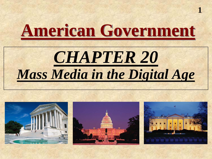# **American Government**

# *CHAPTER 20 Mass Media in the Digital Age*







**1**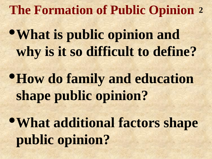**The Formation of Public Opinion 2**

•**What is public opinion and why is it so difficult to define?**

•**How do family and education shape public opinion?**

•**What additional factors shape public opinion?**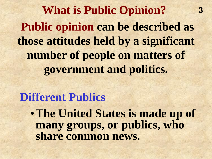**Public opinion can be described as those attitudes held by a significant number of people on matters of government and politics. What is Public Opinion?**

**3**

### **Different Publics**

•**The United States is made up of many groups, or publics, who share common news.**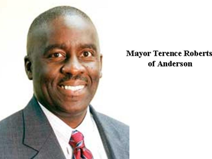

### **Mayor Terence Roberts** of Anderson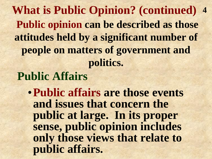**Public opinion can be described as those attitudes held by a significant number of people on matters of government and politics. What is Public Opinion? (continued) 4**

**Public Affairs**

•**Public affairs are those events and issues that concern the public at large. In its proper sense, public opinion includes only those views that relate to public affairs.**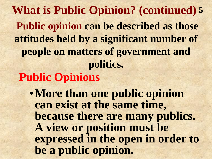**Public opinion can be described as those attitudes held by a significant number of people on matters of government and politics. What is Public Opinion? (continued) 5**

## **Public Opinions**

•**More than one public opinion can exist at the same time, because there are many publics. A view or position must be expressed in the open in order to be a public opinion.**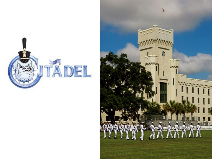

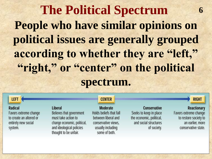**The Political Spectrum People who have similar opinions on** political issues are generally grouped according to whether they are "left," "right," or "center" on the political spectrum.

#### LEFT

#### Radical

Favors extreme change to create an altered or entirely new social system.

#### Liberal

Believes that government must take action to change economic, political, and ideological policies thought to be unfair.

#### **CENTER**

**Moderate** Holds beliefs that fall between liberal and conservative views, usually including some of both.

#### Conservative Seeks to keep in place the economic, political, and social structures of society.

**RIGHT** 

**Reactionary** 

Favors extreme change to restore society to an earlier, more conservative state.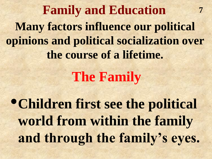**Family and Education Many factors influence our political opinions and political socialization over the course of a lifetime. 7**

**The Family**

•**Children first see the political world from within the family and through the family's eyes.**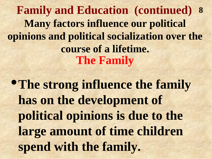**Family and Education (continued) 8The Family Many factors influence our political opinions and political socialization over the course of a lifetime.**

•**The strong influence the family has on the development of political opinions is due to the large amount of time children spend with the family.**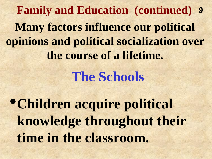**Family and Education (continued) 9Many factors influence our political opinions and political socialization over the course of a lifetime.**

## **The Schools**

•**Children acquire political knowledge throughout their time in the classroom.**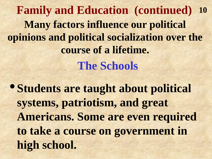**Family and Education (continued) 10The Schools Many factors influence our political opinions and political socialization over the course of a lifetime.**

• **Students are taught about political systems, patriotism, and great Americans. Some are even required to take a course on government in high school.**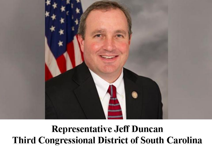

**Representative Jeff Duncan** Third Congressional District of South Carolina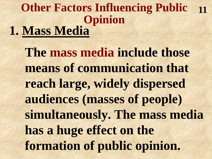### **Other Factors Influencing Public Opinion 1. Mass Media 11**

**The mass media include those means of communication that reach large, widely dispersed audiences (masses of people) simultaneously. The mass media**  has a huge effect on the **formation of public opinion.**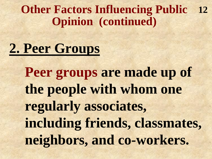**Other Factors Influencing Public Opinion (continued) 12**

## **2. Peer Groups**

**Peer groups are made up of the people with whom one regularly associates, including friends, classmates, neighbors, and co-workers.**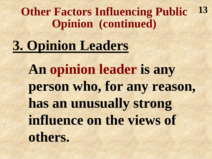**Other Factors Influencing Public Opinion (continued) 13**

# **3. Opinion Leaders**

**An opinion leader is any person who, for any reason, has an unusually strong influence on the views of others.**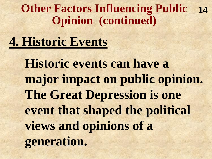#### **Other Factors Influencing Public Opinion (continued) 14**

## **4. Historic Events**

**Historic events can have a major impact on public opinion. The Great Depression is one event that shaped the political views and opinions of a generation.**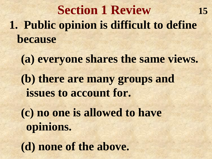**Section 1 Review 1. Public opinion is difficult to define because 15**

**(a) everyone shares the same views. (b) there are many groups and issues to account for. (c) no one is allowed to have opinions.**

**(d) none of the above.**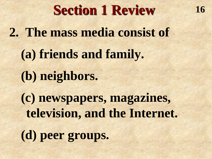# **Section 1 Review**

**16**

**2. The mass media consist of (a) friends and family. (b) neighbors. (c) newspapers, magazines, television, and the Internet. (d) peer groups.**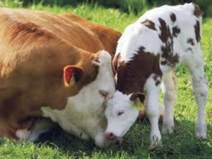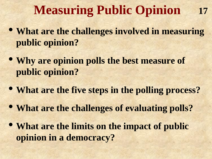#### **Measuring Public Opinion 17**

- **What are the challenges involved in measuring public opinion?**
- **Why are opinion polls the best measure of public opinion?**
- **What are the five steps in the polling process?**
- **What are the challenges of evaluating polls?**
- **What are the limits on the impact of public opinion in a democracy?**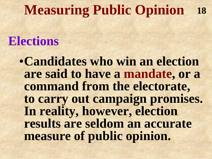#### **Measuring Public Opinion 18**

## **Elections**

•**Candidates who win an election are said to have a mandate, or a command from the electorate, to carry out campaign promises. In reality, however, election results are seldom an accurate measure of public opinion.**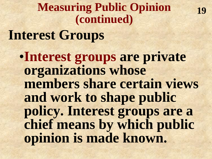## **Measuring Public Opinion (continued)**

**19**

**Interest Groups**

•**Interest groups are private organizations whose members share certain views and work to shape public policy. Interest groups are a chief means by which public opinion is made known.**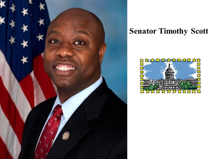

### **Senator Timothy Scott**

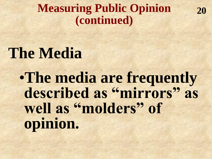## **Measuring Public Opinion (continued)**

**20**

# **The Media**

•**The media are frequently described as "mirrors" as well as "molders" of opinion.**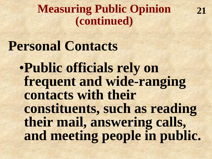## **Measuring Public Opinion (continued)**

**21**

## **Personal Contacts**

•**Public officials rely on frequent and wide-ranging contacts with their constituents, such as reading their mail, answering calls, and meeting people in public.**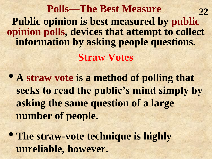**Polls—The Best Measure Straw Votes Public opinion is best measured by public opinion polls, devices that attempt to collect information by asking people questions. 22**

- **A straw vote is a method of polling that seeks to read the public's mind simply by asking the same question of a large number of people.**
- **The straw-vote technique is highly unreliable, however.**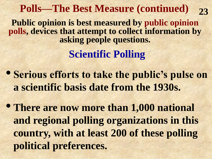**Polls—The Best Measure (continued) Public opinion is best measured by public opinion polls, devices that attempt to collect information by asking people questions. 23**

**Scientific Polling**

• **Serious efforts to take the public's pulse on a scientific basis date from the 1930s.**

• **There are now more than 1,000 national and regional polling organizations in this country, with at least 200 of these polling political preferences.**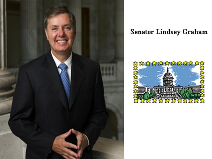

#### **Senator Lindsey Graham**

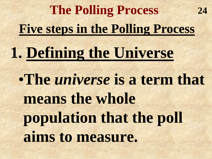**The Polling Process 24 Five steps in the Polling Process**

# **1. Defining the Universe**

•**The** *universe* **is a term that**  means the whole **population that the poll aims to measure.**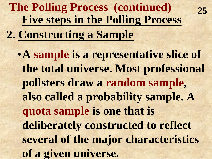## **The Polling Process (continued) 2. Constructing a Sample Five steps in the Polling Process**

**25**

•**A sample is a representative slice of the total universe. Most professional pollsters draw a random sample, also called a probability sample. A quota sample is one that is deliberately constructed to reflect several of the major characteristics of a given universe.**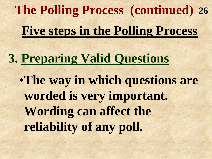**The Polling Process (continued) 26 Five steps in the Polling Process**

## **3. Preparing Valid Questions**

•**The way in which questions are worded is very important. Wording can affect the reliability of any poll.**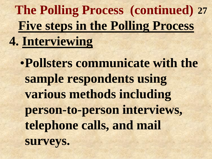**The Polling Process (continued) 27 4. Interviewing Five steps in the Polling Process**

•**Pollsters communicate with the sample respondents using various methods including person-to-person interviews, telephone calls, and mail surveys.**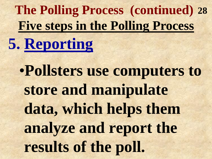**The Polling Process (continued) 28 Five steps in the Polling Process**

**5. Reporting**

•**Pollsters use computers to store and manipulate data, which helps them analyze and report the results of the poll.**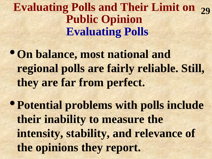**Evaluating Polls and Their Limit on Public Opinion Evaluating Polls 29**

- •**On balance, most national and regional polls are fairly reliable. Still, they are far from perfect.**
- •**Potential problems with polls include their inability to measure the intensity, stability, and relevance of the opinions they report.**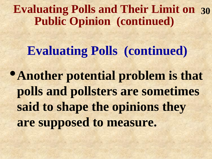**Evaluating Polls and Their Limit on 30Public Opinion (continued)**

**Evaluating Polls (continued)**

•**Another potential problem is that polls and pollsters are sometimes said to shape the opinions they are supposed to measure.**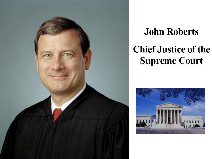

### **John Roberts**

### **Chief Justice of the Supreme Court**

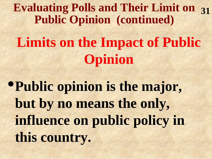## **Evaluating Polls and Their Limit on 31Public Opinion (continued)**

**Limits on the Impact of Public Opinion**

•**Public opinion is the major, but by no means the only, influence on public policy in this country.**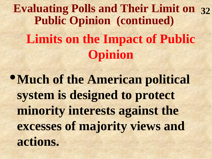**Evaluating Polls and Their Limit on 32Public Opinion (continued) Limits on the Impact of Public Opinion**

•**Much of the American political system is designed to protect minority interests against the excesses of majority views and actions.**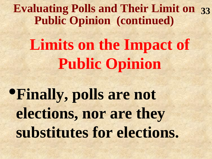## **Evaluating Polls and Their Limit on 33Public Opinion (continued)**

**Limits on the Impact of Public Opinion**

•**Finally, polls are not elections, nor are they substitutes for elections.**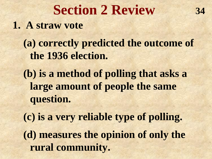## **Section 2 Review**

**1. A straw vote**

**(a) correctly predicted the outcome of the 1936 election.**

**(b) is a method of polling that asks a large amount of people the same question.**

**(c) is a very reliable type of polling. (d) measures the opinion of only the rural community.**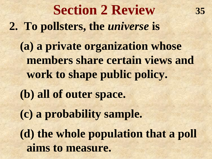**Section 2 Review 2. To pollsters, the** *universe* **is (a) a private organization whose members share certain views and work to shape public policy. (b) all of outer space. (c) a probability sample. (d) the whole population that a poll aims to measure. 35**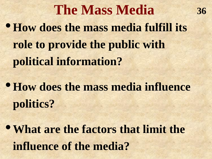**The Mass Media** •**How does the mass media fulfill its role to provide the public with political information?**

**36**

•**How does the mass media influence politics?**

•**What are the factors that limit the influence of the media?**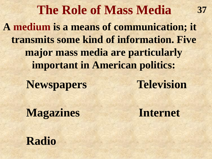**The Role of Mass Media A medium is a means of communication; it transmits some kind of information. Five major mass media are particularly important in American politics: 37**

**Newspapers Television**

**Magazines Internet**

### **Radio**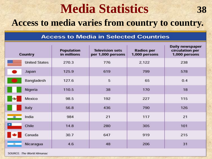## **Media Statistics**

**38**

### **Access to media varies from country to country.**

#### **Access to Media in Selected Countries**

| <b>Country</b> |                      | <b>Population</b><br>in millions | <b>Television sets</b><br>per 1,000 persons | <b>Radios per</b><br>1,000 persons | <b>Daily newspaper</b><br>circulation per<br>1,000 persons |
|----------------|----------------------|----------------------------------|---------------------------------------------|------------------------------------|------------------------------------------------------------|
|                | <b>United States</b> | 270.3                            | 776                                         | 2,122                              | 238                                                        |
|                | Japan                | 125.9                            | 619                                         | 799                                | 578                                                        |
|                | Bangladesh           | 127.6                            | 5                                           | 65                                 | 0.4                                                        |
|                | Nigeria              | 110.5                            | 38                                          | 170                                | 18                                                         |
|                | Mexico               | 98.5                             | 192                                         | 227                                | 115                                                        |
|                | Italy                | 56.8                             | 436                                         | 790                                | 126                                                        |
| $\odot$        | India                | 984                              | 21                                          | 117                                | 21                                                         |
|                | Chile                | 14.8                             | 280                                         | 305                                | 101                                                        |
|                | Canada               | 30.7                             | 647                                         | 919                                | 215                                                        |
| OD)            | Nicaragua            | 4.6                              | 48                                          | 206                                | 31                                                         |

SOURCE: The World Almanac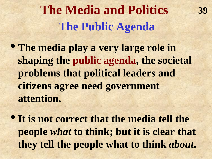# **The Media and Politics The Public Agenda**

**39**

- **The media play a very large role in shaping the public agenda, the societal problems that political leaders and citizens agree need government attention.**
- **It is not correct that the media tell the people** *what* **to think; but it is clear that they tell the people what to think** *about***.**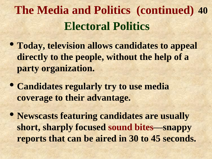## **The Media and Politics (continued) 40Electoral Politics**

- **Today, television allows candidates to appeal directly to the people, without the help of a party organization.**
- **Candidates regularly try to use media coverage to their advantage.**
- **Newscasts featuring candidates are usually short, sharply focused sound bites—snappy reports that can be aired in 30 to 45 seconds.**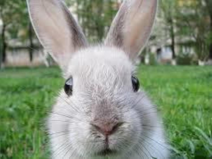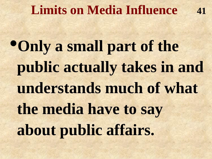#### **Limits on Media Influence 41**

•**Only a small part of the public actually takes in and understands much of what the media have to say about public affairs.**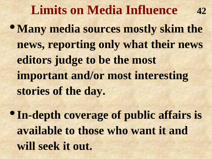**Limits on Media Influence** •**Many media sources mostly skim the news, reporting only what their news editors judge to be the most important and/or most interesting stories of the day. 42**

•**In-depth coverage of public affairs is available to those who want it and will seek it out.**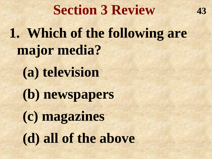## **Section 3 Review**

**43**

**1. Which of the following are major media? (a) television (b) newspapers (c) magazines (d) all of the above**